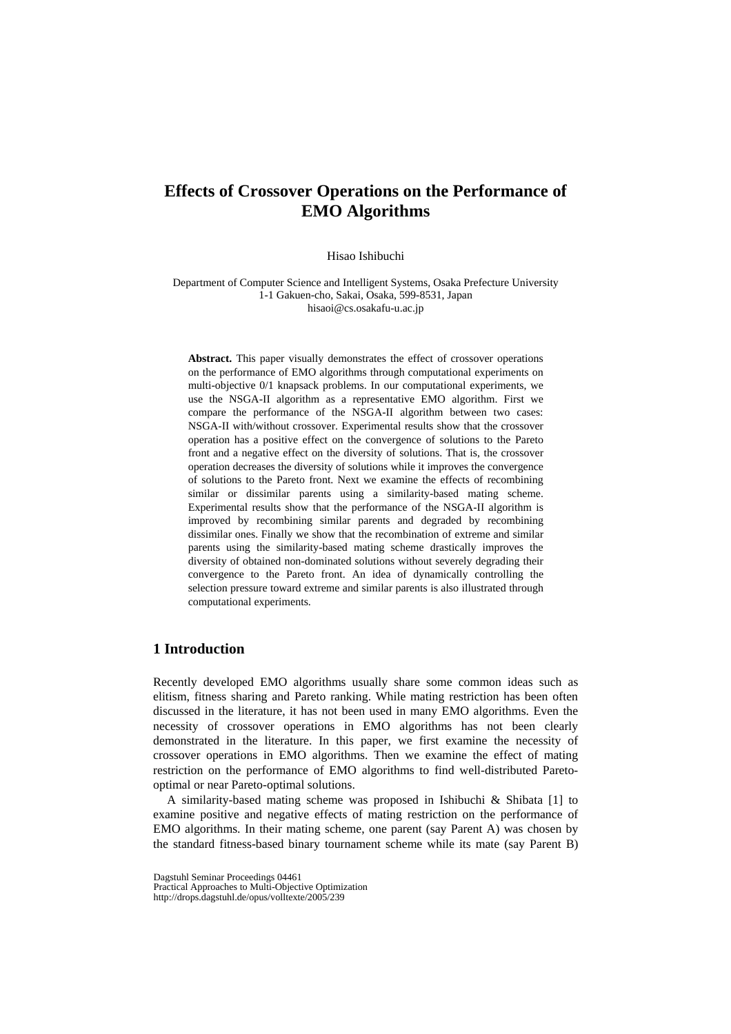# **Effects of Crossover Operations on the Performance of EMO Algorithms**

Hisao Ishibuchi

Department of Computer Science and Intelligent Systems, Osaka Prefecture University 1-1 Gakuen-cho, Sakai, Osaka, 599-8531, Japan hisaoi@cs.osakafu-u.ac.jp

Abstract. This paper visually demonstrates the effect of crossover operations on the performance of EMO algorithms through computational experiments on multi-objective 0/1 knapsack problems. In our computational experiments, we use the NSGA-II algorithm as a representative EMO algorithm. First we compare the performance of the NSGA-II algorithm between two cases: NSGA-II with/without crossover. Experimental results show that the crossover operation has a positive effect on the convergence of solutions to the Pareto front and a negative effect on the diversity of solutions. That is, the crossover operation decreases the diversity of solutions while it improves the convergence of solutions to the Pareto front. Next we examine the effects of recombining similar or dissimilar parents using a similarity-based mating scheme. Experimental results show that the performance of the NSGA-II algorithm is improved by recombining similar parents and degraded by recombining dissimilar ones. Finally we show that the recombination of extreme and similar parents using the similarity-based mating scheme drastically improves the diversity of obtained non-dominated solutions without severely degrading their convergence to the Pareto front. An idea of dynamically controlling the selection pressure toward extreme and similar parents is also illustrated through computational experiments.

# **1 Introduction**

Recently developed EMO algorithms usually share some common ideas such as elitism, fitness sharing and Pareto ranking. While mating restriction has been often discussed in the literature, it has not been used in many EMO algorithms. Even the necessity of crossover operations in EMO algorithms has not been clearly demonstrated in the literature. In this paper, we first examine the necessity of crossover operations in EMO algorithms. Then we examine the effect of mating restriction on the performance of EMO algorithms to find well-distributed Paretooptimal or near Pareto-optimal solutions.

 A similarity-based mating scheme was proposed in Ishibuchi & Shibata [1] to examine positive and negative effects of mating restriction on the performance of EMO algorithms. In their mating scheme, one parent (say Parent A) was chosen by the standard fitness-based binary tournament scheme while its mate (say Parent B)

Dagstuhl Seminar Proceedings 04461

Practical Approaches to Multi-Objective Optimization http://drops.dagstuhl.de/opus/volltexte/2005/239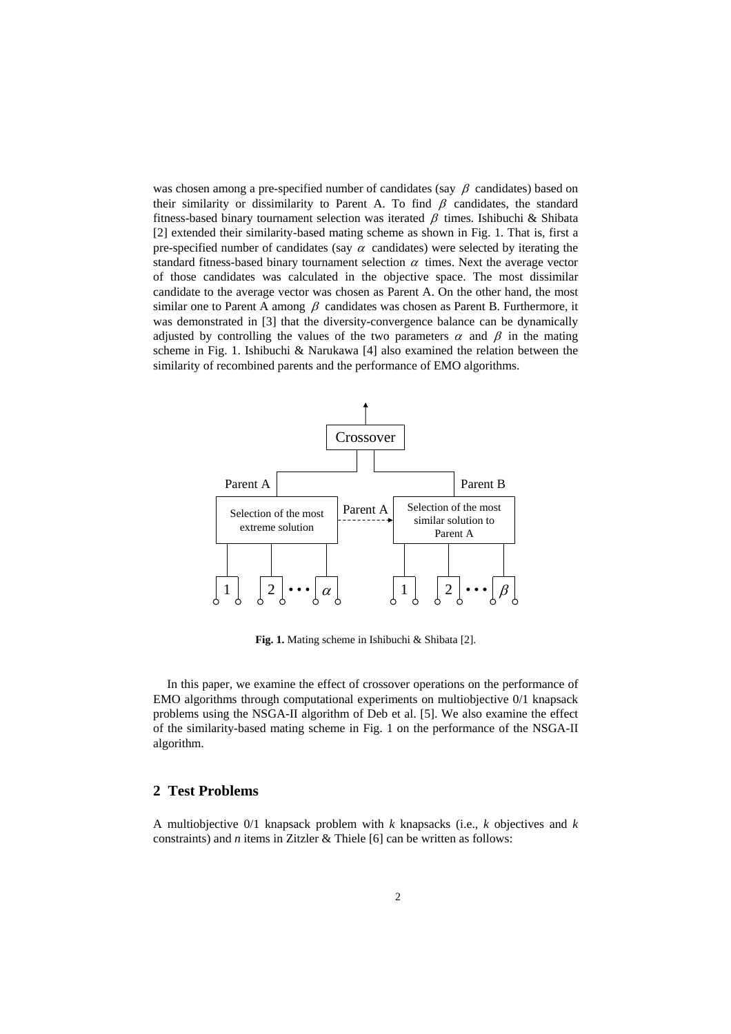was chosen among a pre-specified number of candidates (say  $\beta$  candidates) based on their similarity or dissimilarity to Parent A. To find  $\beta$  candidates, the standard fitness-based binary tournament selection was iterated  $\beta$  times. Ishibuchi & Shibata [2] extended their similarity-based mating scheme as shown in Fig. 1. That is, first a pre-specified number of candidates (say  $\alpha$  candidates) were selected by iterating the standard fitness-based binary tournament selection  $\alpha$  times. Next the average vector of those candidates was calculated in the objective space. The most dissimilar candidate to the average vector was chosen as Parent A. On the other hand, the most similar one to Parent A among  $\beta$  candidates was chosen as Parent B. Furthermore, it was demonstrated in [3] that the diversity-convergence balance can be dynamically adjusted by controlling the values of the two parameters  $\alpha$  and  $\beta$  in the mating scheme in Fig. 1. Ishibuchi & Narukawa [4] also examined the relation between the similarity of recombined parents and the performance of EMO algorithms.



**Fig. 1.** Mating scheme in Ishibuchi & Shibata [2].

 In this paper, we examine the effect of crossover operations on the performance of EMO algorithms through computational experiments on multiobjective 0/1 knapsack problems using the NSGA-II algorithm of Deb et al. [5]. We also examine the effect of the similarity-based mating scheme in Fig. 1 on the performance of the NSGA-II algorithm.

# **2 Test Problems**

A multiobjective 0/1 knapsack problem with *k* knapsacks (i.e., *k* objectives and *k* constraints) and *n* items in Zitzler & Thiele [6] can be written as follows: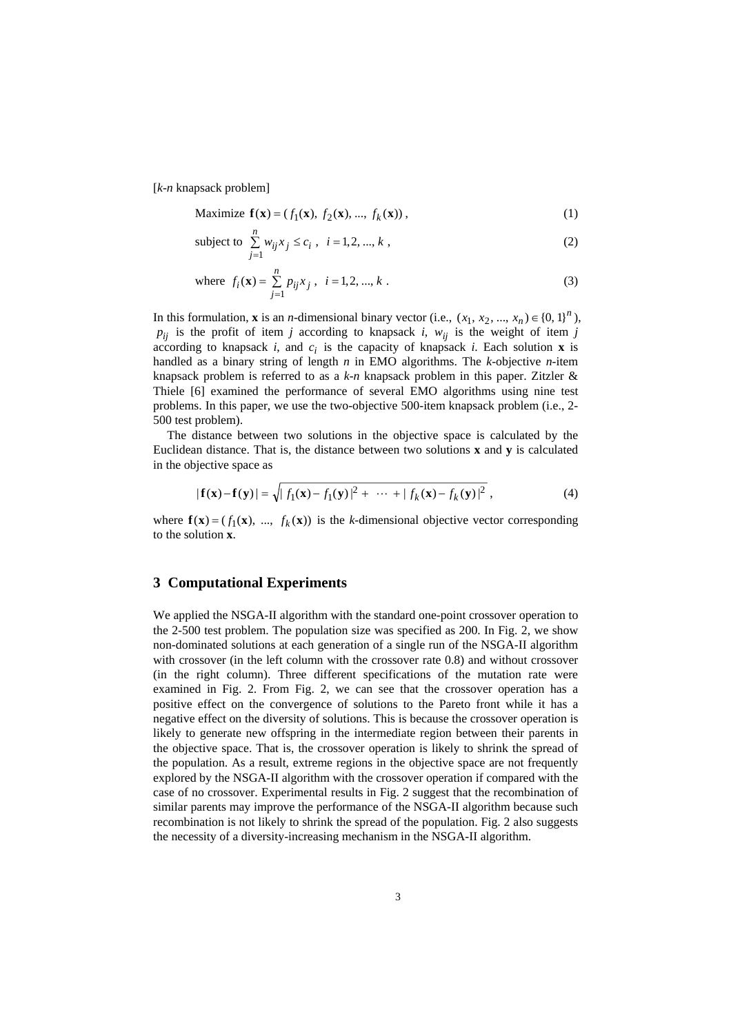[*k*-*n* knapsack problem]

Maximize 
$$
f(x) = (f_1(x), f_2(x), ..., f_k(x)),
$$
 (1)

subject to 
$$
\sum_{j=1}^{n} w_{ij} x_j \le c_i, \quad i = 1, 2, ..., k,
$$
 (2)

where 
$$
f_i(\mathbf{x}) = \sum_{j=1}^{n} p_{ij} x_j
$$
,  $i = 1, 2, ..., k$ . (3)

In this formulation, **x** is an *n*-dimensional binary vector (i.e.,  $(x_1, x_2, ..., x_n) \in \{0, 1\}^n$ ),  $p_{ij}$  is the profit of item *j* according to knapsack *i*,  $w_{ij}$  is the weight of item *j* according to knapsack *i*, and  $c_i$  is the capacity of knapsack *i*. Each solution **x** is handled as a binary string of length *n* in EMO algorithms. The *k*-objective *n*-item knapsack problem is referred to as a *k*-*n* knapsack problem in this paper. Zitzler & Thiele [6] examined the performance of several EMO algorithms using nine test problems. In this paper, we use the two-objective 500-item knapsack problem (i.e., 2- 500 test problem).

 The distance between two solutions in the objective space is calculated by the Euclidean distance. That is, the distance between two solutions **x** and **y** is calculated in the objective space as

$$
|\mathbf{f}(\mathbf{x}) - \mathbf{f}(\mathbf{y})| = \sqrt{|f_1(\mathbf{x}) - f_1(\mathbf{y})|^2 + \dots + |f_k(\mathbf{x}) - f_k(\mathbf{y})|^2},
$$
\n(4)

where  $f(x) = (f_1(x), ..., f_k(x))$  is the *k*-dimensional objective vector corresponding to the solution **x**.

#### **3 Computational Experiments**

We applied the NSGA-II algorithm with the standard one-point crossover operation to the 2-500 test problem. The population size was specified as 200. In Fig. 2, we show non-dominated solutions at each generation of a single run of the NSGA-II algorithm with crossover (in the left column with the crossover rate 0.8) and without crossover (in the right column). Three different specifications of the mutation rate were examined in Fig. 2. From Fig. 2, we can see that the crossover operation has a positive effect on the convergence of solutions to the Pareto front while it has a negative effect on the diversity of solutions. This is because the crossover operation is likely to generate new offspring in the intermediate region between their parents in the objective space. That is, the crossover operation is likely to shrink the spread of the population. As a result, extreme regions in the objective space are not frequently explored by the NSGA-II algorithm with the crossover operation if compared with the case of no crossover. Experimental results in Fig. 2 suggest that the recombination of similar parents may improve the performance of the NSGA-II algorithm because such recombination is not likely to shrink the spread of the population. Fig. 2 also suggests the necessity of a diversity-increasing mechanism in the NSGA-II algorithm.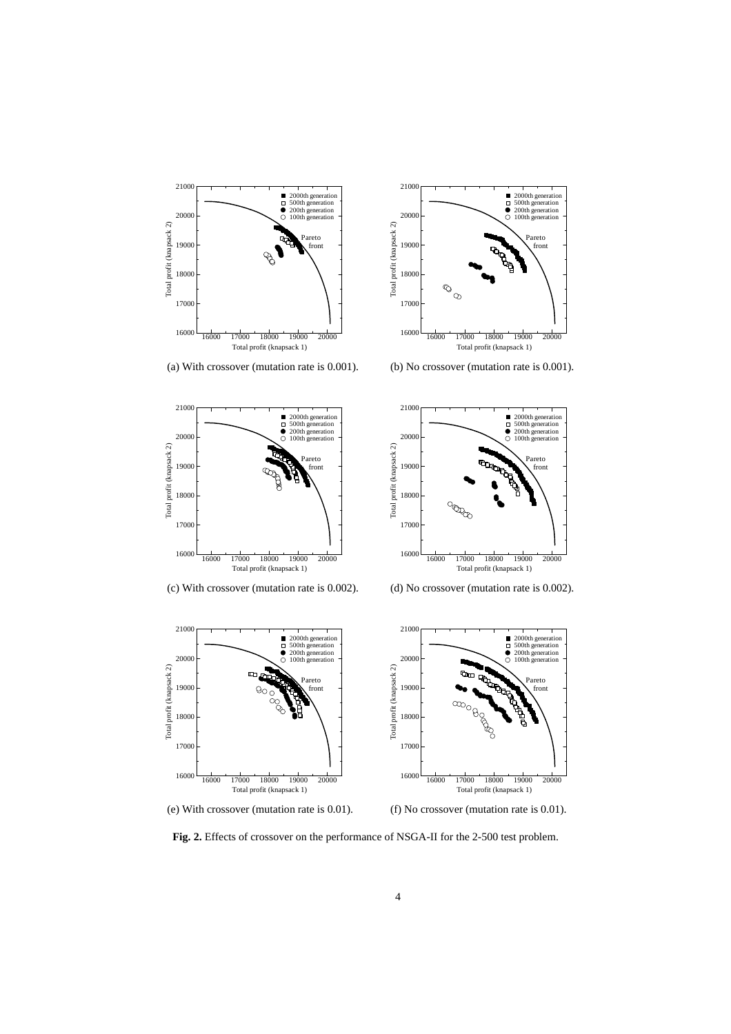

21000

Total profit (knapsack 1)  $16000 \longrightarrow 16000 \longrightarrow 17000 \longrightarrow 18000 \longrightarrow 19000 \longrightarrow 20000$ 

Total profit (knapsack 1) (e) With crossover (mutation rate is 0.01). (f) No crossover (mutation rate is 0.01).

21000

**Fig. 2.** Effects of crossover on the performance of NSGA-II for the 2-500 test problem.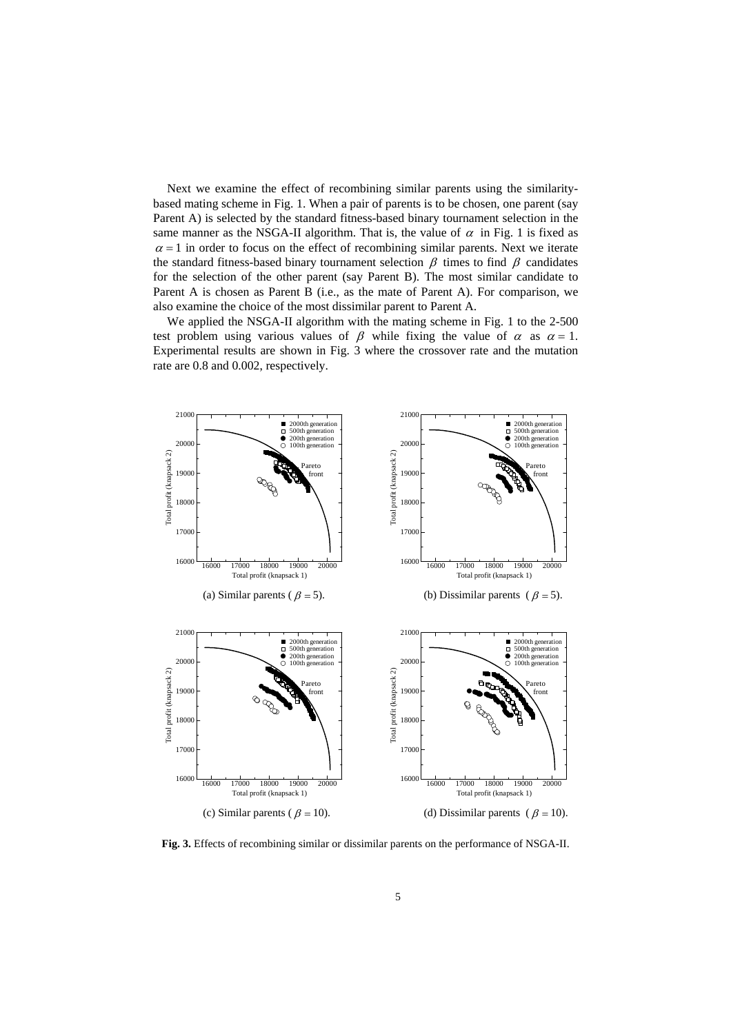Next we examine the effect of recombining similar parents using the similaritybased mating scheme in Fig. 1. When a pair of parents is to be chosen, one parent (say Parent A) is selected by the standard fitness-based binary tournament selection in the same manner as the NSGA-II algorithm. That is, the value of  $\alpha$  in Fig. 1 is fixed as  $\alpha = 1$  in order to focus on the effect of recombining similar parents. Next we iterate the standard fitness-based binary tournament selection  $\beta$  times to find  $\beta$  candidates for the selection of the other parent (say Parent B). The most similar candidate to Parent A is chosen as Parent B (i.e., as the mate of Parent A). For comparison, we also examine the choice of the most dissimilar parent to Parent A.

 We applied the NSGA-II algorithm with the mating scheme in Fig. 1 to the 2-500 test problem using various values of  $\beta$  while fixing the value of  $\alpha$  as  $\alpha = 1$ . Experimental results are shown in Fig. 3 where the crossover rate and the mutation rate are 0.8 and 0.002, respectively.



**Fig. 3.** Effects of recombining similar or dissimilar parents on the performance of NSGA-II.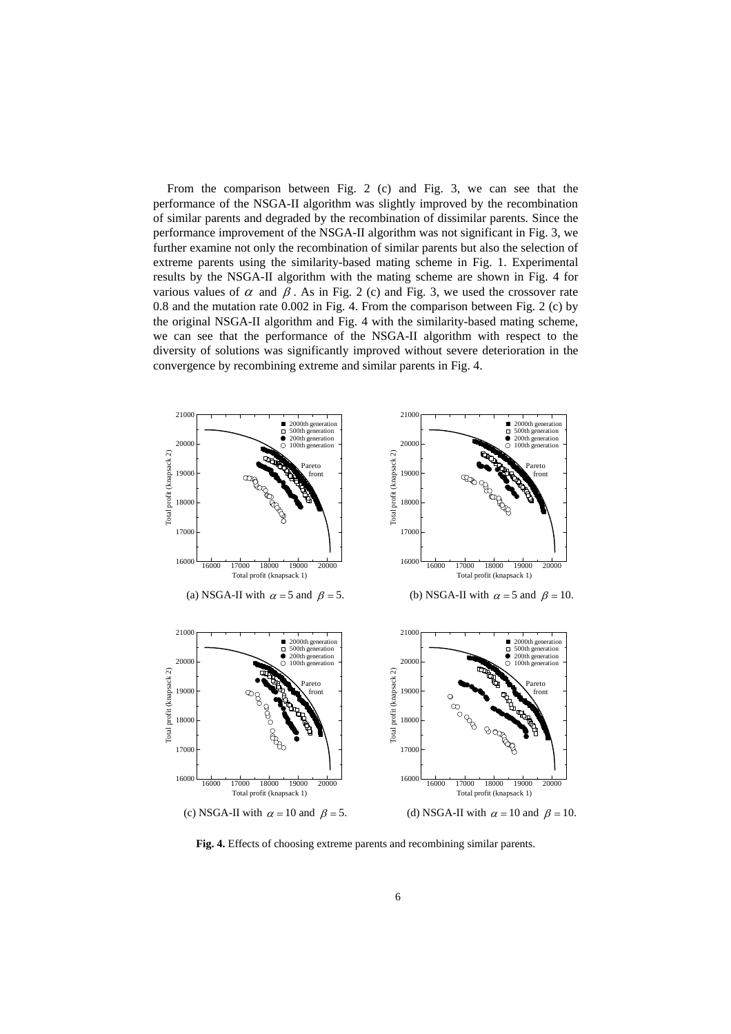From the comparison between Fig. 2 (c) and Fig. 3, we can see that the performance of the NSGA-II algorithm was slightly improved by the recombination of similar parents and degraded by the recombination of dissimilar parents. Since the performance improvement of the NSGA-II algorithm was not significant in Fig. 3, we further examine not only the recombination of similar parents but also the selection of extreme parents using the similarity-based mating scheme in Fig. 1. Experimental results by the NSGA-II algorithm with the mating scheme are shown in Fig. 4 for various values of  $\alpha$  and  $\beta$ . As in Fig. 2 (c) and Fig. 3, we used the crossover rate 0.8 and the mutation rate 0.002 in Fig. 4. From the comparison between Fig. 2 (c) by the original NSGA-II algorithm and Fig. 4 with the similarity-based mating scheme, we can see that the performance of the NSGA-II algorithm with respect to the diversity of solutions was significantly improved without severe deterioration in the convergence by recombining extreme and similar parents in Fig. 4.



**Fig. 4.** Effects of choosing extreme parents and recombining similar parents.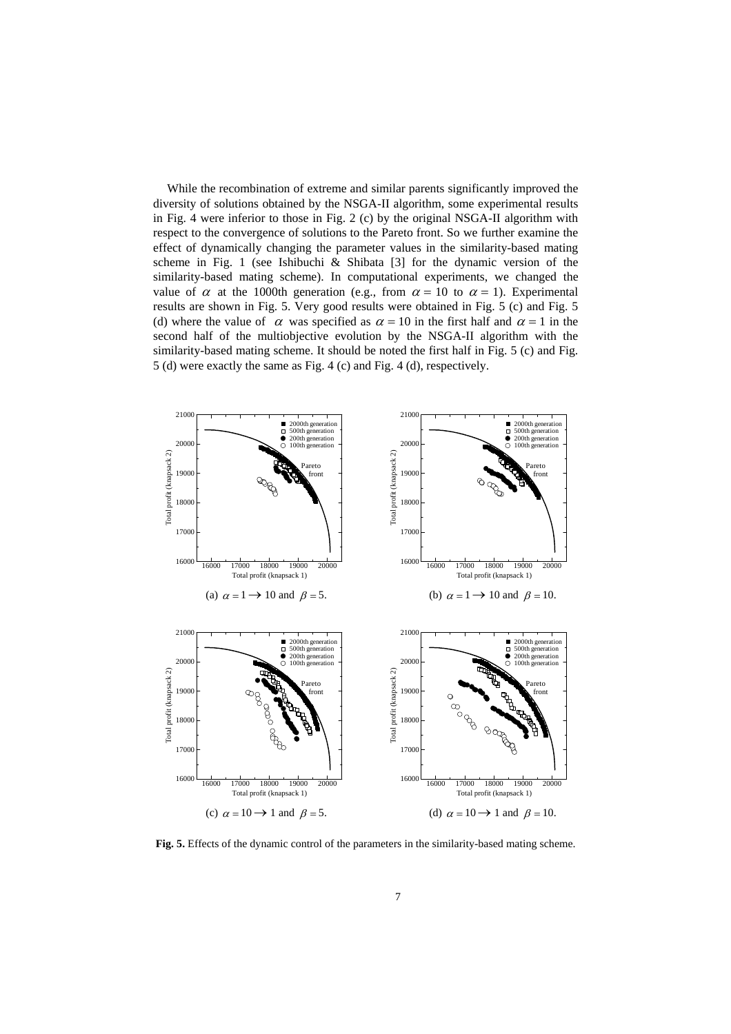While the recombination of extreme and similar parents significantly improved the diversity of solutions obtained by the NSGA-II algorithm, some experimental results in Fig. 4 were inferior to those in Fig. 2 (c) by the original NSGA-II algorithm with respect to the convergence of solutions to the Pareto front. So we further examine the effect of dynamically changing the parameter values in the similarity-based mating scheme in Fig. 1 (see Ishibuchi & Shibata [3] for the dynamic version of the similarity-based mating scheme). In computational experiments, we changed the value of  $\alpha$  at the 1000th generation (e.g., from  $\alpha = 10$  to  $\alpha = 1$ ). Experimental results are shown in Fig. 5. Very good results were obtained in Fig. 5 (c) and Fig. 5 (d) where the value of  $\alpha$  was specified as  $\alpha = 10$  in the first half and  $\alpha = 1$  in the second half of the multiobjective evolution by the NSGA-II algorithm with the similarity-based mating scheme. It should be noted the first half in Fig. 5 (c) and Fig. 5 (d) were exactly the same as Fig. 4 (c) and Fig. 4 (d), respectively.



**Fig. 5.** Effects of the dynamic control of the parameters in the similarity-based mating scheme.